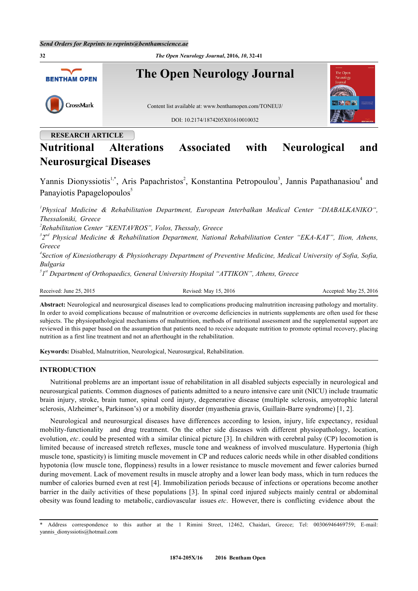**32** *The Open Neurology Journal***, 2016,** *10***, 32-41 The Open Neurology Journal BENTHAM OPEN** CrossMark Content list available at: [www.benthamopen.com/TONEUJ/](http://www.benthamopen.com/TONEUJ/) DOI: [10.2174/1874205X01610010032](http://dx.doi.org/10.2174/1874205X01610010032)

# **RESEARCH ARTICLE**

# **Nutritional Alterations Associated with Neurological and Neurosurgical Diseases**

Yannis Dionyssiotis<sup>[1,](#page-0-0)[\\*](#page-0-1)</sup>, Aris Papachristos<sup>[2](#page-0-2)</sup>, Konstantina Petropoulou<sup>[3](#page-0-3)</sup>, Jannis Papathanasiou<sup>[4](#page-0-4)</sup> and Panayiotis Papagelopoulos<sup>[5](#page-0-5)</sup>

<span id="page-0-0"></span>*1 Physical Medicine & Rehabilitation Department, European Interbalkan Medical Center "DIABALKANIKO", Thessaloniki, Greece*

<span id="page-0-2"></span>*2 Rehabilitation Center "KENTAVROS", Volos, Thessaly, Greece*

<span id="page-0-3"></span>*3 2 nd Physical Medicine & Rehabilitation Department, National Rehabilitation Center "EKA-KAT", Ilion, Athens, Greece*

<span id="page-0-4"></span>*4 Section of Kinesiotherapy & Physiotherapy Department of Preventive Medicine, Medical University of Sofia, Sofia, Bulgaria*

<span id="page-0-5"></span><sup>5</sup><sup>*I*<sup>*s*</sup> Department of Orthopaedics, General University Hospital "ATTIKON", Athens, Greece</sup>

Received: June 25, 2015 Revised: May 15, 2016 Revised: May 25, 2016 Accepted: May 25, 2016

**Abstract:** Neurological and neurosurgical diseases lead to complications producing malnutrition increasing pathology and mortality. In order to avoid complications because of malnutrition or overcome deficiencies in nutrients supplements are often used for these subjects. The physiopathological mechanisms of malnutrition, methods of nutritional assessment and the supplemental support are reviewed in this paper based on the assumption that patients need to receive adequate nutrition to promote optimal recovery, placing nutrition as a first line treatment and not an afterthought in the rehabilitation.

**Keywords:** Disabled, Malnutrition, Neurological, Neurosurgical, Rehabilitation.

# **INTRODUCTION**

Nutritional problems are an important issue of rehabilitation in all disabled subjects especially in neurological and neurosurgical patients. Common diagnoses of patients admitted to a neuro intensive care unit (NICU) include traumatic brain injury, stroke, brain tumor, spinal cord injury, degenerative disease (multiple sclerosis, amyotrophic lateral sclerosis, Alzheimer's, Parkinson's) or a mobility disorder (myasthenia gravis, Guillain-Barre syndrome) [\[1](#page-6-0), [2](#page-6-1)].

Neurological and neurosurgical diseases have differences according to lesion, injury, life expectancy, residual mobility-functionality and drug treatment. On the other side diseases with different physiopathology, location, evolution, *etc*. could be presented with a similar clinical picture [\[3](#page-6-2)]. In children with cerebral palsy (CP) locomotion is limited because of increased stretch reflexes, muscle tone and weakness of involved musculature. Hypertonia (high muscle tone, spasticity) is limiting muscle movement in CP and reduces caloric needs while in other disabled conditions hypotonia (low muscle tone, floppiness) results in a lower resistance to muscle movement and fewer calories burned during movement. Lack of movement results in muscle atrophy and a lower lean body mass, which in turn reduces the number of calories burned even at rest [[4\]](#page-6-3). Immobilization periods because of infections or operations become another barrier in the daily activities of these populations [[3\]](#page-6-2). In spinal cord injured subjects mainly central or abdominal obesity was found leading to metabolic, cardiovascular issues *etc*. However, there is conflicting evidence about the

<span id="page-0-1"></span>Address correspondence to this author at the 1 Rimini Street, 12462, Chaidari, Greece; Tel: 00306946469759; E-mail: [yannis\\_dionyssiotis@hotmail.com](mailto:yannis_dionyssiotis@hotmail.com)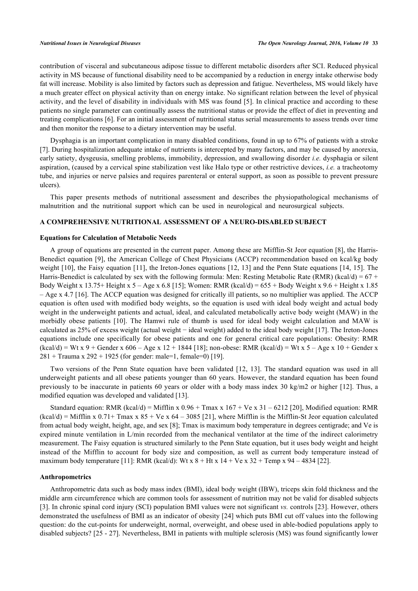contribution of visceral and subcutaneous adipose tissue to different metabolic disorders after SCI. Reduced physical activity in MS because of functional disability need to be accompanied by a reduction in energy intake otherwise body fat will increase. Mobility is also limited by factors such as depression and fatigue. Nevertheless, MS would likely have a much greater effect on physical activity than on energy intake. No significant relation between the level of physical activity, and the level of disability in individuals with MS was found [[5\]](#page-6-4). In clinical practice and according to these patients no single parameter can continually assess the nutritional status or provide the effect of diet in preventing and treating complications [[6\]](#page-6-5). For an initial assessment of nutritional status serial measurements to assess trends over time and then monitor the response to a dietary intervention may be useful.

Dysphagia is an important complication in many disabled conditions, found in up to 67% of patients with a stroke [\[7](#page-6-6)]. During hospitalization adequate intake of nutrients is intercepted by many factors, and may be caused by anorexia, early satiety, dysgeusia, smelling problems, immobility, depression, and swallowing disorder *i.e.* dysphagia or silent aspiration, (caused by a cervical spine stabilization vest like Halo type or other restrictive devices, *i.e.* a tracheotomy tube, and injuries or nerve palsies and requires parenteral or enteral support, as soon as possible to prevent pressure ulcers).

This paper presents methods of nutritional assessment and describes the physiopathological mechanisms of malnutrition and the nutritional support which can be used in neurological and neurosurgical subjects.

# **A COMPREHENSIVE NUTRITIONAL ASSESSMENT OF A NEURO-DISABLED SUBJECT**

### **Equations for Calculation of Metabolic Needs**

A group of equations are presented in the current paper. Among these are Mifflin-St Jeor equation [[8\]](#page-6-7), the Harris-Benedict equation [[9\]](#page-6-8), the American College of Chest Physicians (ACCP) recommendation based on kcal/kg body weight [\[10](#page-6-9)], the Faisy equation [\[11\]](#page-6-10), the Ireton-Jones equations [[12](#page-6-11), [13](#page-6-12)] and the Penn State equations [\[14,](#page-6-13) [15\]](#page-6-14). The Harris-Benedict is calculated by sex with the following formula: Men: Resting Metabolic Rate (RMR) (kcal/d) =  $67 +$ Body Weight x 13.75+ Height x 5 – Age x 6.8 [[15\]](#page-6-14); Women: RMR (kcal/d) =  $655 +$  Body Weight x 9.6 + Height x 1.85 – Age x 4.7 [[16\]](#page-6-15). The ACCP equation was designed for critically ill patients, so no multiplier was applied. The ACCP equation is often used with modified body weights, so the equation is used with ideal body weight and actual body weight in the underweight patients and actual, ideal, and calculated metabolically active body weight (MAW) in the morbidly obese patients [\[10\]](#page-6-9). The Hamwi rule of thumb is used for ideal body weight calculation and MAW is calculated as 25% of excess weight (actual weight − ideal weight) added to the ideal body weight [[17\]](#page-6-16). The Ireton-Jones equations include one specifically for obese patients and one for general critical care populations: Obesity: RMR  $(kcal/d) = Wt x 9 + \text{Gender } x 606 - \text{Age } x 12 + 1844 [18]$  $(kcal/d) = Wt x 9 + \text{Gender } x 606 - \text{Age } x 12 + 1844 [18]$ ; non-obese: RMR  $(kcal/d) = Wt x 5 - \text{Age } x 10 + \text{Gender } x$  $281 +$  Trauma x  $292 + 1925$  (for gender: male=1, female=0) [[19\]](#page-6-18).

Two versions of the Penn State equation have been validated[[12](#page-6-11), [13\]](#page-6-12). The standard equation was used in all underweight patients and all obese patients younger than 60 years. However, the standard equation has been found previously to be inaccurate in patients 60 years or older with a body mass index 30 kg/m2 or higher [[12](#page-6-11)]. Thus, a modified equation was developed and validated [\[13](#page-6-12)].

Standard equation: RMR (kcal/d) = Mifflin x  $0.96 + T$ max x  $167 + Ve$  x  $31 - 6212$  [[20\]](#page-6-19), Modified equation: RMR  $(kcal/d) =$  Mifflin x 0.71+ Tmax x 85 + Ve x 64 – 3085 [[21\]](#page-6-20), where Mifflin is the Mifflin-St Jeor equation calculated from actual body weight, height, age, and sex [\[8](#page-6-7)]; Tmax is maximum body temperature in degrees centigrade; and Ve is expired minute ventilation in L/min recorded from the mechanical ventilator at the time of the indirect calorimetry measurement. The Faisy equation is structured similarly to the Penn State equation, but it uses body weight and height instead of the Mifflin to account for body size and composition, as well as current body temperature instead of maximum body temperature [[11\]](#page-6-10): RMR (kcal/d): Wt x  $8 + Ht x 14 + Ve x 32 + Temp x 94 - 4834$  [[22\]](#page-7-0).

#### **Anthropometrics**

Anthropometric data such as body mass index (BMI), ideal body weight (IBW), triceps skin fold thickness and the middle arm circumference which are common tools for assessment of nutrition may not be valid for disabled subjects [\[3](#page-6-2)]. In chronic spinal cord injury (SCI) population BMI values were not significant *vs.* controls [\[23\]](#page-7-1). However, others demonstrated the usefulness of BMI as an indicator of obesity [\[24\]](#page-7-2) which puts BMI cut off values into the following question: do the cut-points for underweight, normal, overweight, and obese used in able-bodied populations apply to disabled subjects? [\[25](#page-7-3) - [27\]](#page-7-4). Nevertheless, BMI in patients with multiple sclerosis (MS) was found significantly lower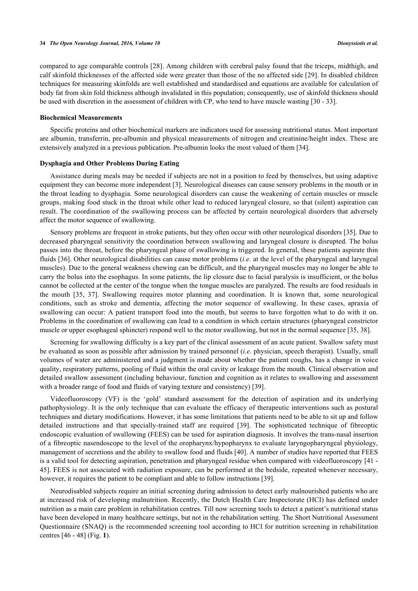compared to age comparable controls [[28\]](#page-7-5). Among children with cerebral palsy found that the triceps, midthigh, and calf skinfold thicknesses of the affected side were greater than those of the no affected side [\[29](#page-7-6)]. In disabled children techniques for measuring skinfolds are well established and standardised and equations are available for calculation of body fat from skin fold thickness although invalidated in this population; consequently, use of skinfold thickness should be used with discretion in the assessment of children with CP, who tend to have muscle wasting [\[30](#page-7-7) - [33](#page-7-8)].

### **Biochemical Measurements**

Specific proteins and other biochemical markers are indicators used for assessing nutritional status. Most important are albumin, transferrin, pre-albumin and physical measurements of nitrogen and creatinine/height index. These are extensively analyzed in a previous publication. Pre-albumin looks the most valued of them [[34\]](#page-7-9).

### **Dysphagia and Other Problems During Eating**

Assistance during meals may be needed if subjects are not in a position to feed by themselves, but using adaptive equipment they can become more independent [\[3](#page-6-2)]. Neurological diseases can cause sensory problems in the mouth or in the throat leading to dysphagia. Some neurological disorders can cause the weakening of certain muscles or muscle groups, making food stuck in the throat while other lead to reduced laryngeal closure, so that (silent) aspiration can result. The coordination of the swallowing process can be affected by certain neurological disorders that adversely affect the motor sequence of swallowing.

Sensory problems are frequent in stroke patients, but they often occur with other neurological disorders [[35](#page-7-10)]. Due to decreased pharyngeal sensitivity the coordination between swallowing and laryngeal closure is disrupted. The bolus passes into the throat, before the pharyngeal phase of swallowing is triggered. In general, these patients aspirate thin fluids [\[36](#page-7-11)]. Other neurological disabilities can cause motor problems (*i.e.* at the level of the pharyngeal and laryngeal muscles). Due to the general weakness chewing can be difficult, and the pharyngeal muscles may no longer be able to carry the bolus into the esophagus. In some patients, the lip closure due to facial paralysis is insufficient, or the bolus cannot be collected at the center of the tongue when the tongue muscles are paralyzed. The results are food residuals in the mouth[[35](#page-7-10), [37](#page-7-12)]. Swallowing requires motor planning and coordination. It is known that, some neurological conditions, such as stroke and dementia, affecting the motor sequence of swallowing. In these cases, apraxia of swallowing can occur: A patient transport food into the mouth, but seems to have forgotten what to do with it on. Problems in the coordination of swallowing can lead to a condition in which certain structures (pharyngeal constrictor muscle or upper esophageal sphincter) respond well to the motor swallowing, but not in the normal sequence [\[35](#page-7-10), [38](#page-7-13)].

Screening for swallowing difficulty is a key part of the clinical assessment of an acute patient. Swallow safety must be evaluated as soon as possible after admission by trained personnel (*i.e.* physician, speech therapist). Usually, small volumes of water are administered and a judgment is made about whether the patient coughs, has a change in voice quality, respiratory patterns, pooling of fluid within the oral cavity or leakage from the mouth. Clinical observation and detailed swallow assessment (including behaviour, function and cognition as it relates to swallowing and assessment with a broader range of food and fluids of varying texture and consistency) [\[39](#page-7-14)].

Videofluoroscopy (VF) is the 'gold' standard assessment for the detection of aspiration and its underlying pathophysiology. It is the only technique that can evaluate the efficacy of therapeutic interventions such as postural techniques and dietary modifications. However, it has some limitations that patients need to be able to sit up and follow detailed instructions and that specially-trained staff are required [\[39\]](#page-7-14). The sophisticated technique of fibreoptic endoscopic evaluation of swallowing (FEES) can be used for aspiration diagnosis. It involves the trans-nasal insertion of a fibreoptic nasendoscope to the level of the oropharynx/hypopharynx to evaluate laryngopharyngeal physiology, management of secretions and the ability to swallow food and fluids [\[40](#page-7-15)]. A number of studies have reported that FEES is a valid tool for detecting aspiration, penetration and pharyngeal residue when compared with videofluoroscopy [[41](#page-7-16) - [45\]](#page-8-0). FEES is not associated with radiation exposure, can be performed at the bedside, repeated whenever necessary, however, it requires the patient to be compliant and able to follow instructions [[39\]](#page-7-14).

<span id="page-2-0"></span>Neurodisabled subjects require an initial screening during admission to detect early malnourished patients who are at increased risk of developing malnutrition. Recently, the Dutch Health Care Inspectorate (HCI) has defined under nutrition as a main care problem in rehabilitation centres. Till now screening tools to detect a patient's nutritional status have been developed in many healthcare settings, but not in the rehabilitation setting. The Short Nutritional Assessment Questionnaire (SNAQ) is the recommended screening tool according to HCI for nutrition screening in rehabilitation centres [[46](#page-8-1) - [48](#page-8-2)] (Fig. **[1](#page-2-0)**).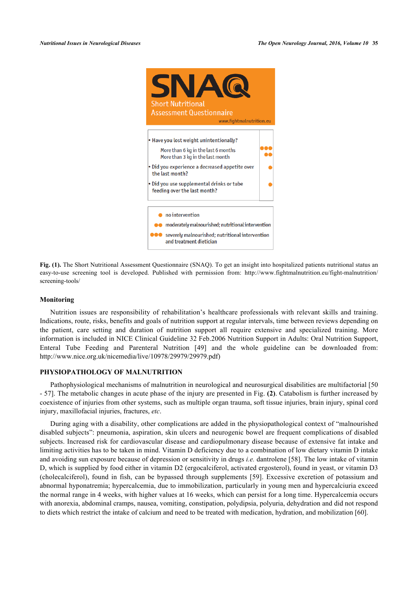

**Fig. (1).** The Short Nutritional Assessment Questionnaire (SNAQ). To get an insight into hospitalized patients nutritional status an easy-to-use screening tool is developed. Published with permission from: [http://www.fightmalnutrition.eu/fight-malnutrition/](http://www.fightmalnutrition.eu/fight-malnutrition/screening-tools/) [screening-tools/](http://www.fightmalnutrition.eu/fight-malnutrition/screening-tools/)

## **Monitoring**

Nutrition issues are responsibility of rehabilitation's healthcare professionals with relevant skills and training. Indications, route, risks, benefits and goals of nutrition support at regular intervals, time between reviews depending on the patient, care setting and duration of nutrition support all require extensive and specialized training. More information is included in NICE Clinical Guideline 32 Feb.2006 Nutrition Support in Adults: Oral Nutrition Support, Enteral Tube Feeding and Parenteral Nutrition[[49\]](#page-8-3) and the whole guideline can be downloaded from: [http://www.nice.org.uk/nicemedia/live/10978/29979/29979.pdf\)](http://www.nice.org.uk/nicemedia/live/10978/29979/29979.pdf)

# **PHYSIOPATHOLOGY OF MALNUTRITION**

Pathophysiological mechanisms of malnutrition in neurological and neurosurgical disabilities are multifactorial [[50](#page-8-4) - [57](#page-8-5)]. The metabolic changes in acute phase of the injury are presented in Fig. **([2](#page-3-0))**. Catabolism is further increased by coexistence of injuries from other systems, such as multiple organ trauma, soft tissue injuries, brain injury, spinal cord injury, maxillofacial injuries, fractures, *etc*.

<span id="page-3-0"></span>During aging with a disability, other complications are added in the physiopathological context of "malnourished disabled subjects": pneumonia, aspiration, skin ulcers and neurogenic bowel are frequent complications of disabled subjects. Increased risk for cardiovascular disease and cardiopulmonary disease because of extensive fat intake and limiting activities has to be taken in mind. Vitamin D deficiency due to a combination of low dietary vitamin D intake and avoiding sun exposure because of depression or sensitivity in drugs *i.e.* dantrolene [\[58](#page-8-6)]. The low intake of vitamin D, which is supplied by food either in vitamin D2 (ergocalciferol, activated ergosterol), found in yeast, or vitamin D3 (cholecalciferol), found in fish, can be bypassed through supplements [\[59\]](#page-8-7). Excessive excretion of potassium and abnormal hyponatremia; hypercalcemia, due to immobilization, particularly in young men and hypercalciuria exceed the normal range in 4 weeks, with higher values at 16 weeks, which can persist for a long time. Hypercalcemia occurs with anorexia, abdominal cramps, nausea, vomiting, constipation, polydipsia, polyuria, dehydration and did not respond to diets which restrict the intake of calcium and need to be treated with medication, hydration, and mobilization [[60\]](#page-8-8).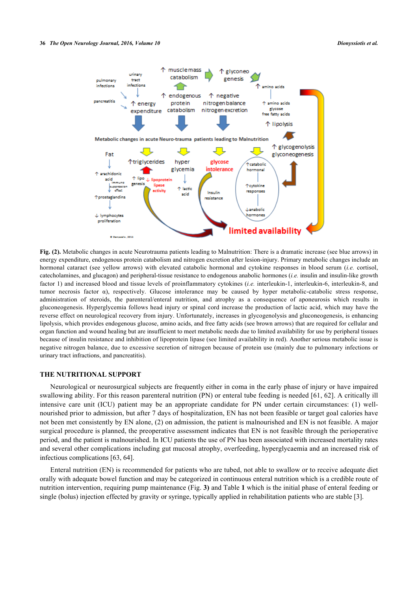

**Fig. (2).** Metabolic changes in acute Neurotrauma patients leading to Malnutrition: There is a dramatic increase (see blue arrows) in energy expenditure, endogenous protein catabolism and nitrogen excretion after lesion-injury. Primary metabolic changes include an hormonal cataract (see yellow arrows) with elevated catabolic hormonal and cytokine responses in blood serum (*i.e.* cortisol, catecholamines, and glucagon) and peripheral-tissue resistance to endogenous anabolic hormones (*i.e.* insulin and insulin-like growth factor 1) and increased blood and tissue levels of proinflammatory cytokines (*i.e.* interleukin-1, interleukin-6, interleukin-8, and tumor necrosis factor α), respectively. Glucose intolerance may be caused by hyper metabolic-catabolic stress response, administration of steroids, the parenteral/enteral nutrition, and atrophy as a consequence of aponeurosis which results in gluconeogenesis. Hyperglycemia follows head injury or spinal cord increase the production of lactic acid, which may have the reverse effect on neurological recovery from injury. Unfortunately, increases in glycogenolysis and gluconeogenesis, is enhancing lipolysis, which provides endogenous glucose, amino acids, and free fatty acids (see brown arrows) that are required for cellular and organ function and wound healing but are insufficient to meet metabolic needs due to limited availability for use by peripheral tissues because of insulin resistance and inhibition of lipoprotein lipase (see limited availability in red). Another serious metabolic issue is negative nitrogen balance, due to excessive secretion of nitrogen because of protein use (mainly due to pulmonary infections or urinary tract infractions, and pancreatitis).

# **THE NUTRITIONAL SUPPORT**

Neurological or neurosurgical subjects are frequently either in coma in the early phase of injury or have impaired swallowing ability. For this reason parenteral nutrition (PN) or enteral tube feeding is needed [\[61](#page-8-9), [62](#page-8-10)]. A critically ill intensive care unit (ICU) patient may be an appropriate candidate for PN under certain circumstances: (1) wellnourished prior to admission, but after 7 days of hospitalization, EN has not been feasible or target goal calories have not been met consistently by EN alone, (2) on admission, the patient is malnourished and EN is not feasible. A major surgical procedure is planned, the preoperative assessment indicates that EN is not feasible through the perioperative period, and the patient is malnourished. In ICU patients the use of PN has been associated with increased mortality rates and several other complications including gut mucosal atrophy, overfeeding, hyperglycaemia and an increased risk of infectious complications [[63,](#page-8-11) [64\]](#page-8-12).

<span id="page-4-0"></span>Enteral nutrition (EN) is recommended for patients who are tubed, not able to swallow or to receive adequate diet orally with adequate bowel function and may be categorized in continuous enteral nutrition which is a credible route of nutrition intervention, requiring pump maintenance (Fig. **[3\)](#page-4-0)** and Table **[1](#page-5-0)** which is the initial phase of enteral feeding or single (bolus) injection effected by gravity or syringe, typically applied in rehabilitation patients who are stable [\[3](#page-6-2)].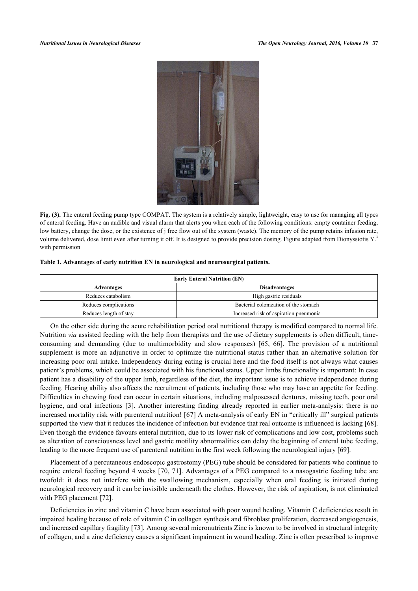

**Fig. (3).** The enteral feeding pump type COMPAT. The system is a relatively simple, lightweight, easy to use for managing all types of enteral feeding. Have an audible and visual alarm that alerts you when each of the following conditions: empty container feeding, low battery, change the dose, or the existence of j free flow out of the system (waste). The memory of the pump retains infusion rate, volume delivered, dose limit even after turning it off. It is designed to provide precision dosing. Figure adapted from Dionyssiotis Y.<sup>3</sup> with permission

#### <span id="page-5-0"></span>**Table 1. Advantages of early nutrition EN in neurological and neurosurgical patients.**

| <b>Early Enteral Nutrition (EN)</b> |                                        |
|-------------------------------------|----------------------------------------|
| Advantages                          | <b>Disadvantages</b>                   |
| Reduces catabolism                  | High gastric residuals                 |
| Reduces complications               | Bacterial colonization of the stomach  |
| Reduces length of stay              | Increased risk of aspiration pneumonia |

On the other side during the acute rehabilitation period oral nutritional therapy is modified compared to normal life. Nutrition *via* assisted feeding with the help from therapists and the use of dietary supplements is often difficult, timeconsuming and demanding (due to multimorbidity and slow responses)[[65,](#page-8-13) [66](#page-8-14)]. The provision of a nutritional supplement is more an adjunctive in order to optimize the nutritional status rather than an alternative solution for increasing poor oral intake. Independency during eating is crucial here and the food itself is not always what causes patient's problems, which could be associated with his functional status. Upper limbs functionality is important: In case patient has a disability of the upper limb, regardless of the diet, the important issue is to achieve independence during feeding. Hearing ability also affects the recruitment of patients, including those who may have an appetite for feeding. Difficulties in chewing food can occur in certain situations, including malposessed dentures, missing teeth, poor oral hygiene, and oral infections [\[3](#page-6-2)]. Another interesting finding already reported in earlier meta-analysis: there is no increased mortality risk with parenteral nutrition! [\[67\]](#page-8-15) A meta-analysis of early EN in "critically ill" surgical patients supported the view that it reduces the incidence of infection but evidence that real outcome is influenced is lacking [[68\]](#page-9-0). Even though the evidence favours enteral nutrition, due to its lower risk of complications and low cost, problems such as alteration of consciousness level and gastric motility abnormalities can delay the beginning of enteral tube feeding, leading to the more frequent use of parenteral nutrition in the first week following the neurological injury [\[69](#page-9-1)].

Placement of a percutaneous endoscopic gastrostomy (PEG) tube should be considered for patients who continue to require enteral feeding beyond 4 weeks [[70,](#page-9-2) [71](#page-9-3)]. Advantages of a PEG compared to a nasogastric feeding tube are twofold: it does not interfere with the swallowing mechanism, especially when oral feeding is initiated during neurological recovery and it can be invisible underneath the clothes. However, the risk of aspiration, is not eliminated with PEG placement [\[72](#page-9-4)].

Deficiencies in zinc and vitamin C have been associated with poor wound healing. Vitamin C deficiencies result in impaired healing because of role of vitamin C in collagen synthesis and fibroblast proliferation, decreased angiogenesis, and increased capillary fragility [\[73](#page-9-5)]. Among several micronutrients Zinc is known to be involved in structural integrity of collagen, and a zinc deficiency causes a significant impairment in wound healing. Zinc is often prescribed to improve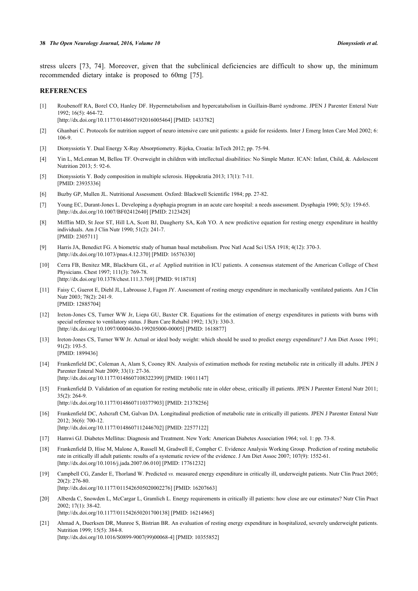stress ulcers[[73](#page-9-5), [74\]](#page-9-6). Moreover, given that the subclinical deficiencies are difficult to show up, the minimum recommended dietary intake is proposed to 60mg [\[75](#page-9-7)].

# **REFERENCES**

- <span id="page-6-0"></span>[1] Roubenoff RA, Borel CO, Hanley DF. Hypermetabolism and hypercatabolism in Guillain-Barré syndrome. JPEN J Parenter Enteral Nutr 1992; 16(5): 464-72. [\[http://dx.doi.org/10.1177/0148607192016005464\]](http://dx.doi.org/10.1177/0148607192016005464) [PMID: [1433782](http://www.ncbi.nlm.nih.gov/pubmed/1433782)]
- <span id="page-6-1"></span>[2] Ghanbari C. Protocols for nutrition support of neuro intensive care unit patients: a guide for residents. Inter J Emerg Inten Care Med 2002; 6: 106-9.
- <span id="page-6-2"></span>[3] Dionyssiotis Y. Dual Energy X-Ray Absorptiometry. Rijeka, Croatia: InTech 2012; pp. 75-94.
- <span id="page-6-3"></span>[4] Yin L, McLennan M, Bellou TF. Overweight in children with intellectual disabilities: No Simple Matter. ICAN: Infant, Child, &. Adolescent Nutrition 2013; 5: 92-6.
- <span id="page-6-4"></span>[5] Dionyssiotis Y. Body composition in multiple sclerosis. Hippokratia 2013; 17(1): 7-11. [PMID: [23935336\]](http://www.ncbi.nlm.nih.gov/pubmed/23935336)
- <span id="page-6-5"></span>[6] Buzby GP, Mullen JL. Nutritional Assessment. Oxford: Blackwell Scientific 1984; pp. 27-82.
- <span id="page-6-6"></span>[7] Young EC, Durant-Jones L. Developing a dysphagia program in an acute care hospital: a needs assessment. Dysphagia 1990; 5(3): 159-65. [\[http://dx.doi.org/10.1007/BF02412640\]](http://dx.doi.org/10.1007/BF02412640) [PMID: [2123428](http://www.ncbi.nlm.nih.gov/pubmed/2123428)]
- <span id="page-6-7"></span>[8] Mifflin MD, St Jeor ST, Hill LA, Scott BJ, Daugherty SA, Koh YO. A new predictive equation for resting energy expenditure in healthy individuals. Am J Clin Nutr 1990; 51(2): 241-7. [PMID: [2305711\]](http://www.ncbi.nlm.nih.gov/pubmed/2305711)
- <span id="page-6-8"></span>[9] Harris JA, Benedict FG. A biometric study of human basal metabolism. Proc Natl Acad Sci USA 1918; 4(12): 370-3. [\[http://dx.doi.org/10.1073/pnas.4.12.370](http://dx.doi.org/10.1073/pnas.4.12.370)] [PMID: [16576330](http://www.ncbi.nlm.nih.gov/pubmed/16576330)]
- <span id="page-6-9"></span>[10] Cerra FB, Benitez MR, Blackburn GL, *et al.* Applied nutrition in ICU patients. A consensus statement of the American College of Chest Physicians. Chest 1997; 111(3): 769-78. [\[http://dx.doi.org/10.1378/chest.111.3.769](http://dx.doi.org/10.1378/chest.111.3.769)] [PMID: [9118718\]](http://www.ncbi.nlm.nih.gov/pubmed/9118718)
- <span id="page-6-10"></span>[11] Faisy C, Guerot E, Diehl JL, Labrousse J, Fagon JY. Assessment of resting energy expenditure in mechanically ventilated patients. Am J Clin Nutr 2003; 78(2): 241-9. [PMID: [12885704\]](http://www.ncbi.nlm.nih.gov/pubmed/12885704)
- <span id="page-6-11"></span>[12] Ireton-Jones CS, Turner WW Jr, Liepa GU, Baxter CR. Equations for the estimation of energy expenditures in patients with burns with special reference to ventilatory status. J Burn Care Rehabil 1992; 13(3): 330-3. [\[http://dx.doi.org/10.1097/00004630-199205000-00005](http://dx.doi.org/10.1097/00004630-199205000-00005)] [PMID: [1618877\]](http://www.ncbi.nlm.nih.gov/pubmed/1618877)
- <span id="page-6-12"></span>[13] Ireton-Jones CS, Turner WW Jr. Actual or ideal body weight: which should be used to predict energy expenditure? J Am Diet Assoc 1991; 91(2): 193-5. [PMID: [1899436\]](http://www.ncbi.nlm.nih.gov/pubmed/1899436)
- <span id="page-6-13"></span>[14] Frankenfield DC, Coleman A, Alam S, Cooney RN. Analysis of estimation methods for resting metabolic rate in critically ill adults. JPEN J Parenter Enteral Nutr 2009; 33(1): 27-36. [\[http://dx.doi.org/10.1177/0148607108322399\]](http://dx.doi.org/10.1177/0148607108322399) [PMID: [19011147](http://www.ncbi.nlm.nih.gov/pubmed/19011147)]
- <span id="page-6-14"></span>[15] Frankenfield D. Validation of an equation for resting metabolic rate in older obese, critically ill patients. JPEN J Parenter Enteral Nutr 2011; 35(2): 264-9. [\[http://dx.doi.org/10.1177/0148607110377903\]](http://dx.doi.org/10.1177/0148607110377903) [PMID: [21378256](http://www.ncbi.nlm.nih.gov/pubmed/21378256)]
- <span id="page-6-15"></span>[16] Frankenfield DC, Ashcraft CM, Galvan DA. Longitudinal prediction of metabolic rate in critically ill patients. JPEN J Parenter Enteral Nutr 2012; 36(6): 700-12. [\[http://dx.doi.org/10.1177/0148607112446702\]](http://dx.doi.org/10.1177/0148607112446702) [PMID: [22577122](http://www.ncbi.nlm.nih.gov/pubmed/22577122)]
- <span id="page-6-16"></span>[17] Hamwi GJ. Diabetes Mellitus: Diagnosis and Treatment. New York: American Diabetes Association 1964; vol. 1: pp. 73-8.
- <span id="page-6-17"></span>[18] Frankenfield D, Hise M, Malone A, Russell M, Gradwell E, Compher C. Evidence Analysis Working Group. Prediction of resting metabolic rate in critically ill adult patients: results of a systematic review of the evidence. J Am Diet Assoc 2007; 107(9): 1552-61. [\[http://dx.doi.org/10.1016/j.jada.2007.06.010](http://dx.doi.org/10.1016/j.jada.2007.06.010)] [PMID: [17761232\]](http://www.ncbi.nlm.nih.gov/pubmed/17761232)
- <span id="page-6-18"></span>[19] Campbell CG, Zander E, Thorland W. Predicted *vs.* measured energy expenditure in critically ill, underweight patients. Nutr Clin Pract 2005; 20(2): 276-80. [\[http://dx.doi.org/10.1177/0115426505020002276\]](http://dx.doi.org/10.1177/0115426505020002276) [PMID: [16207663](http://www.ncbi.nlm.nih.gov/pubmed/16207663)]
- <span id="page-6-19"></span>[20] Alberda C, Snowden L, McCargar L, Gramlich L. Energy requirements in critically ill patients: how close are our estimates? Nutr Clin Pract 2002; 17(1): 38-42. [\[http://dx.doi.org/10.1177/011542650201700138\]](http://dx.doi.org/10.1177/011542650201700138) [PMID: [16214965](http://www.ncbi.nlm.nih.gov/pubmed/16214965)]
- <span id="page-6-20"></span>[21] Ahmad A, Duerksen DR, Munroe S, Bistrian BR. An evaluation of resting energy expenditure in hospitalized, severely underweight patients. Nutrition 1999; 15(5): 384-8. [\[http://dx.doi.org/10.1016/S0899-9007\(99\)00068-4\]](http://dx.doi.org/10.1016/S0899-9007(99)00068-4) [PMID: [10355852](http://www.ncbi.nlm.nih.gov/pubmed/10355852)]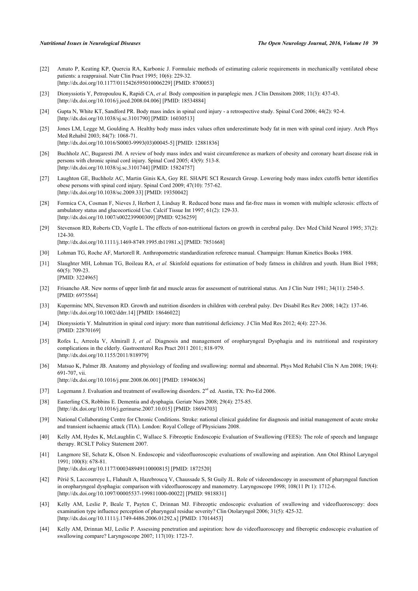- <span id="page-7-0"></span>[22] Amato P, Keating KP, Quercia RA, Karbonic J. Formulaic methods of estimating calorie requirements in mechanically ventilated obese patients: a reappraisal. Nutr Clin Pract 1995; 10(6): 229-32. [\[http://dx.doi.org/10.1177/0115426595010006229\]](http://dx.doi.org/10.1177/0115426595010006229) [PMID: [8700053](http://www.ncbi.nlm.nih.gov/pubmed/8700053)]
- <span id="page-7-1"></span>[23] Dionyssiotis Y, Petropoulou K, Rapidi CA, *et al.* Body composition in paraplegic men. J Clin Densitom 2008; 11(3): 437-43. [\[http://dx.doi.org/10.1016/j.jocd.2008.04.006\]](http://dx.doi.org/10.1016/j.jocd.2008.04.006) [PMID: [18534884](http://www.ncbi.nlm.nih.gov/pubmed/18534884)]
- <span id="page-7-2"></span>[24] Gupta N, White KT, Sandford PR. Body mass index in spinal cord injury - a retrospective study. Spinal Cord 2006; 44(2): 92-4. [\[http://dx.doi.org/10.1038/sj.sc.3101790\]](http://dx.doi.org/10.1038/sj.sc.3101790) [PMID: [16030513](http://www.ncbi.nlm.nih.gov/pubmed/16030513)]
- <span id="page-7-3"></span>[25] Jones LM, Legge M, Goulding A. Healthy body mass index values often underestimate body fat in men with spinal cord injury. Arch Phys Med Rehabil 2003; 84(7): 1068-71. [\[http://dx.doi.org/10.1016/S0003-9993\(03\)00045-5\]](http://dx.doi.org/10.1016/S0003-9993(03)00045-5) [PMID: [12881836](http://www.ncbi.nlm.nih.gov/pubmed/12881836)]
- [26] Buchholz AC, Bugaresti JM. A review of body mass index and waist circumference as markers of obesity and coronary heart disease risk in persons with chronic spinal cord injury. Spinal Cord 2005; 43(9): 513-8. [\[http://dx.doi.org/10.1038/sj.sc.3101744\]](http://dx.doi.org/10.1038/sj.sc.3101744) [PMID: [15824757](http://www.ncbi.nlm.nih.gov/pubmed/15824757)]
- <span id="page-7-4"></span>[27] Laughton GE, Buchholz AC, Martin Ginis KA, Goy RE. SHAPE SCI Research Group. Lowering body mass index cutoffs better identifies obese persons with spinal cord injury. Spinal Cord 2009; 47(10): 757-62. [\[http://dx.doi.org/10.1038/sc.2009.33](http://dx.doi.org/10.1038/sc.2009.33)] [PMID: [19350042](http://www.ncbi.nlm.nih.gov/pubmed/19350042)]
- <span id="page-7-5"></span>[28] Formica CA, Cosman F, Nieves J, Herbert J, Lindsay R. Reduced bone mass and fat-free mass in women with multiple sclerosis: effects of ambulatory status and glucocorticoid Use. Calcif Tissue Int 1997; 61(2): 129-33. [\[http://dx.doi.org/10.1007/s002239900309\]](http://dx.doi.org/10.1007/s002239900309) [PMID: [9236259](http://www.ncbi.nlm.nih.gov/pubmed/9236259)]
- <span id="page-7-6"></span>[29] Stevenson RD, Roberts CD, Vogtle L. The effects of non-nutritional factors on growth in cerebral palsy. Dev Med Child Neurol 1995; 37(2): 124-30. [\[http://dx.doi.org/10.1111/j.1469-8749.1995.tb11981.x\]](http://dx.doi.org/10.1111/j.1469-8749.1995.tb11981.x) [PMID: [7851668](http://www.ncbi.nlm.nih.gov/pubmed/7851668)]
- <span id="page-7-7"></span>[30] Lohman TG, Roche AF, Martorell R. Anthropometric standardization reference manual. Champaign: Human Kinetics Books 1988.
- [31] Slaughter MH, Lohman TG, Boileau RA, *et al.* Skinfold equations for estimation of body fatness in children and youth. Hum Biol 1988; 60(5): 709-23. [PMID: [3224965\]](http://www.ncbi.nlm.nih.gov/pubmed/3224965)
- [32] Frisancho AR. New norms of upper limb fat and muscle areas for assessment of nutritional status. Am J Clin Nutr 1981; 34(11): 2540-5. [PMID: [6975564\]](http://www.ncbi.nlm.nih.gov/pubmed/6975564)
- <span id="page-7-8"></span>[33] Kuperminc MN, Stevenson RD. Growth and nutrition disorders in children with cerebral palsy. Dev Disabil Res Rev 2008; 14(2): 137-46. [\[http://dx.doi.org/10.1002/ddrr.14](http://dx.doi.org/10.1002/ddrr.14)] [PMID: [18646022\]](http://www.ncbi.nlm.nih.gov/pubmed/18646022)
- <span id="page-7-9"></span>[34] Dionyssiotis Y. Malnutrition in spinal cord injury: more than nutritional deficiency. J Clin Med Res 2012; 4(4): 227-36. [PMID: [22870169\]](http://www.ncbi.nlm.nih.gov/pubmed/22870169)
- <span id="page-7-10"></span>[35] Rofes L, Arreola V, Almirall J, et al. Diagnosis and management of oropharyngeal Dysphagia and its nutritional and respiratory complications in the elderly. Gastroenterol Res Pract 2011 2011; 818-979. [\[http://dx.doi.org/10.1155/2011/818979](http://dx.doi.org/10.1155/2011/818979)]
- <span id="page-7-11"></span>[36] Matsuo K, Palmer JB. Anatomy and physiology of feeding and swallowing: normal and abnormal. Phys Med Rehabil Clin N Am 2008; 19(4): 691-707, vii. [\[http://dx.doi.org/10.1016/j.pmr.2008.06.001\]](http://dx.doi.org/10.1016/j.pmr.2008.06.001) [PMID: [18940636](http://www.ncbi.nlm.nih.gov/pubmed/18940636)]
- <span id="page-7-12"></span>[37] Logemann J. Evaluation and treatment of swallowing disorders. 2<sup>nd</sup> ed. Austin, TX: Pro-Ed 2006.
- <span id="page-7-13"></span>[38] Easterling CS, Robbins E. Dementia and dysphagia. Geriatr Nurs 2008; 29(4): 275-85. [\[http://dx.doi.org/10.1016/j.gerinurse.2007.10.015\]](http://dx.doi.org/10.1016/j.gerinurse.2007.10.015) [PMID: [18694703](http://www.ncbi.nlm.nih.gov/pubmed/18694703)]
- <span id="page-7-14"></span>[39] National Collaborating Centre for Chronic Conditions. Stroke: national clinical guideline for diagnosis and initial management of acute stroke and transient ischaemic attack (TIA). London: Royal College of Physicians 2008.
- <span id="page-7-15"></span>[40] Kelly AM, Hydes K, McLaughlin C, Wallace S. Fibreoptic Endoscopic Evaluation of Swallowing (FEES): The role of speech and language therapy. RCSLT Policy Statement 2007.
- <span id="page-7-16"></span>[41] Langmore SE, Schatz K, Olson N. Endoscopic and videofluoroscopic evaluations of swallowing and aspiration. Ann Otol Rhinol Laryngol 1991; 100(8): 678-81.
	- [\[http://dx.doi.org/10.1177/000348949110000815\]](http://dx.doi.org/10.1177/000348949110000815) [PMID: [1872520](http://www.ncbi.nlm.nih.gov/pubmed/1872520)]
- [42] Périé S, Laccourreye L, Flahault A, Hazebroucq V, Chaussade S, St Guily JL. Role of videoendoscopy in assessment of pharyngeal function in oropharyngeal dysphagia: comparison with videofluoroscopy and manometry. Laryngoscope 1998; 108(11 Pt 1): 1712-6. [\[http://dx.doi.org/10.1097/00005537-199811000-00022](http://dx.doi.org/10.1097/00005537-199811000-00022)] [PMID: [9818831\]](http://www.ncbi.nlm.nih.gov/pubmed/9818831)
- [43] Kelly AM, Leslie P, Beale T, Payten C, Drinnan MJ. Fibreoptic endoscopic evaluation of swallowing and videofluoroscopy: does examination type influence perception of pharyngeal residue severity? Clin Otolaryngol 2006; 31(5): 425-32. [\[http://dx.doi.org/10.1111/j.1749-4486.2006.01292.x\]](http://dx.doi.org/10.1111/j.1749-4486.2006.01292.x) [PMID: [17014453](http://www.ncbi.nlm.nih.gov/pubmed/17014453)]
- [44] Kelly AM, Drinnan MJ, Leslie P. Assessing penetration and aspiration: how do videofluoroscopy and fiberoptic endoscopic evaluation of swallowing compare? Laryngoscope 2007; 117(10): 1723-7.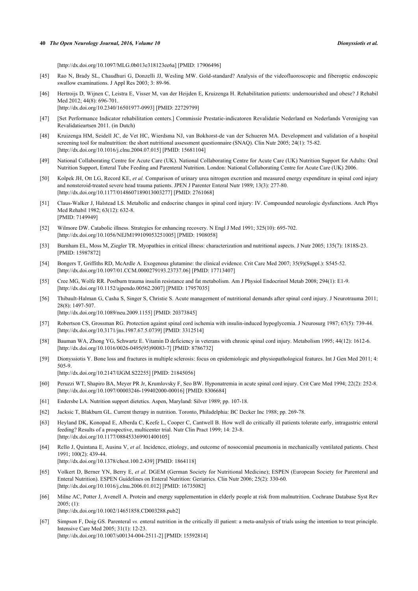#### **40** *The Open Neurology Journal, 2016, Volume 10 Dionyssiotis et al.*

[\[http://dx.doi.org/10.1097/MLG.0b013e318123ee6a\]](http://dx.doi.org/10.1097/MLG.0b013e318123ee6a) [PMID: [17906496](http://www.ncbi.nlm.nih.gov/pubmed/17906496)]

- <span id="page-8-0"></span>[45] Rao N, Brady SL, Chaudhuri G, Donzelli JJ, Wesling MW. Gold-standard? Analysis of the videofluoroscopic and fiberoptic endoscopic swallow examinations. J Appl Res 2003; 3: 89-96.
- <span id="page-8-1"></span>[46] Hertroijs D, Wijnen C, Leistra E, Visser M, van der Heijden E, Kruizenga H. Rehabilitation patients: undernourished and obese? J Rehabil Med 2012; 44(8): 696-701. [\[http://dx.doi.org/10.2340/16501977-0993](http://dx.doi.org/10.2340/16501977-0993)] [PMID: [22729799](http://www.ncbi.nlm.nih.gov/pubmed/22729799)]
- [47] [Set Performance Indicator rehabilitation centers.] Commissie Prestatie-indicatoren Revalidatie Nederland en Nederlands Vereniging van Revalidatieartsen 2011. (in Dutch)
- <span id="page-8-2"></span>[48] Kruizenga HM, Seidell JC, de Vet HC, Wierdsma NJ, van Bokhorst-de van der Schueren MA. Development and validation of a hospital screening tool for malnutrition: the short nutritional assessment questionnaire (SNAQ). Clin Nutr 2005; 24(1): 75-82. [\[http://dx.doi.org/10.1016/j.clnu.2004.07.015\]](http://dx.doi.org/10.1016/j.clnu.2004.07.015) [PMID: [15681104](http://www.ncbi.nlm.nih.gov/pubmed/15681104)]
- <span id="page-8-3"></span>[49] National Collaborating Centre for Acute Care (UK). National Collaborating Centre for Acute Care (UK) Nutrition Support for Adults: Oral Nutrition Support, Enteral Tube Feeding and Parenteral Nutrition. London: National Collaborating Centre for Acute Care (UK) 2006.
- <span id="page-8-4"></span>[50] Kolpek JH, Ott LG, Record KE, *et al.* Comparison of urinary urea nitrogen excretion and measured energy expenditure in spinal cord injury and nonsteroid-treated severe head trauma patients. JPEN J Parenter Enteral Nutr 1989; 13(3): 277-80. [\[http://dx.doi.org/10.1177/0148607189013003277\]](http://dx.doi.org/10.1177/0148607189013003277) [PMID: [2761068](http://www.ncbi.nlm.nih.gov/pubmed/2761068)]
- [51] Claus-Walker J, Halstead LS. Metabolic and endocrine changes in spinal cord injury: IV. Compounded neurologic dysfunctions. Arch Phys Med Rehabil 1982; 63(12): 632-8. [PMID: [7149949\]](http://www.ncbi.nlm.nih.gov/pubmed/7149949)
- [52] Wilmore DW. Catabolic illness. Strategies for enhancing recovery. N Engl J Med 1991; 325(10): 695-702. [\[http://dx.doi.org/10.1056/NEJM199109053251005\]](http://dx.doi.org/10.1056/NEJM199109053251005) [PMID: [1908058](http://www.ncbi.nlm.nih.gov/pubmed/1908058)]
- [53] Burnham EL, Moss M, Ziegler TR. Myopathies in critical illness: characterization and nutritional aspects. J Nutr 2005; 135(7): 1818S-23. [PMID: [15987872\]](http://www.ncbi.nlm.nih.gov/pubmed/15987872)
- [54] Bongers T, Griffiths RD, McArdle A. Exogenous glutamine: the clinical evidence. Crit Care Med 2007; 35(9)(Suppl.): S545-52. [\[http://dx.doi.org/10.1097/01.CCM.0000279193.23737.06\]](http://dx.doi.org/10.1097/01.CCM.0000279193.23737.06) [PMID: [17713407](http://www.ncbi.nlm.nih.gov/pubmed/17713407)]
- [55] Cree MG, Wolfe RR. Postburn trauma insulin resistance and fat metabolism. Am J Physiol Endocrinol Metab 2008; 294(1): E1-9. [\[http://dx.doi.org/10.1152/ajpendo.00562.2007](http://dx.doi.org/10.1152/ajpendo.00562.2007)] [PMID: [17957035\]](http://www.ncbi.nlm.nih.gov/pubmed/17957035)
- [56] Thibault-Halman G, Casha S, Singer S, Christie S. Acute management of nutritional demands after spinal cord injury. J Neurotrauma 2011; 28(8): 1497-507. [\[http://dx.doi.org/10.1089/neu.2009.1155](http://dx.doi.org/10.1089/neu.2009.1155)] [PMID: [20373845\]](http://www.ncbi.nlm.nih.gov/pubmed/20373845)
- <span id="page-8-5"></span>[57] Robertson CS, Grossman RG. Protection against spinal cord ischemia with insulin-induced hypoglycemia. J Neurosurg 1987; 67(5): 739-44. [\[http://dx.doi.org/10.3171/jns.1987.67.5.0739](http://dx.doi.org/10.3171/jns.1987.67.5.0739)] [PMID: [3312514\]](http://www.ncbi.nlm.nih.gov/pubmed/3312514)
- <span id="page-8-6"></span>[58] Bauman WA, Zhong YG, Schwartz E. Vitamin D deficiency in veterans with chronic spinal cord injury. Metabolism 1995; 44(12): 1612-6. [\[http://dx.doi.org/10.1016/0026-0495\(95\)90083-7](http://dx.doi.org/10.1016/0026-0495(95)90083-7)] [PMID: [8786732](http://www.ncbi.nlm.nih.gov/pubmed/8786732)]
- <span id="page-8-7"></span>[59] Dionyssiotis Y. Bone loss and fractures in multiple sclerosis: focus on epidemiologic and physiopathological features. Int J Gen Med 2011; 4: 505-9.
	- [\[http://dx.doi.org/10.2147/IJGM.S22255\]](http://dx.doi.org/10.2147/IJGM.S22255) [PMID: [21845056](http://www.ncbi.nlm.nih.gov/pubmed/21845056)]
- <span id="page-8-8"></span>[60] Peruzzi WT, Shapiro BA, Meyer PR Jr, Krumlovsky F, Seo BW. Hyponatremia in acute spinal cord injury. Crit Care Med 1994; 22(2): 252-8. [\[http://dx.doi.org/10.1097/00003246-199402000-00016](http://dx.doi.org/10.1097/00003246-199402000-00016)] [PMID: [8306684\]](http://www.ncbi.nlm.nih.gov/pubmed/8306684)
- <span id="page-8-9"></span>[61] Endersbe LA. Nutrition support dietetics. Aspen, Maryland: Silver 1989; pp. 107-18.
- <span id="page-8-10"></span>[62] Jacksic T, Blakburn GL. Current therapy in nutrition. Toronto, Philadelphia: BC Decker Inc 1988; pp. 269-78.
- <span id="page-8-11"></span>[63] Heyland DK, Konopad E, Alberda C, Keefe L, Cooper C, Cantwell B. How well do critically ill patients tolerate early, intragastric enteral feeding? Results of a prospective, multicenter trial. Nutr Clin Pract 1999; 14: 23-8. [\[http://dx.doi.org/10.1177/088453369901400105\]](http://dx.doi.org/10.1177/088453369901400105)
- <span id="page-8-12"></span>[64] Rello J, Quintana E, Ausina V, *et al.* Incidence, etiology, and outcome of nosocomial pneumonia in mechanically ventilated patients. Chest 1991; 100(2): 439-44. [\[http://dx.doi.org/10.1378/chest.100.2.439](http://dx.doi.org/10.1378/chest.100.2.439)] [PMID: [1864118\]](http://www.ncbi.nlm.nih.gov/pubmed/1864118)
- <span id="page-8-13"></span>[65] Volkert D, Berner YN, Berry E, *et al.* DGEM (German Society for Nutritional Medicine); ESPEN (European Society for Parenteral and Enteral Nutrition). ESPEN Guidelines on Enteral Nutrition: Geriatrics. Clin Nutr 2006; 25(2): 330-60. [\[http://dx.doi.org/10.1016/j.clnu.2006.01.012\]](http://dx.doi.org/10.1016/j.clnu.2006.01.012) [PMID: [16735082](http://www.ncbi.nlm.nih.gov/pubmed/16735082)]
- <span id="page-8-14"></span>[66] Milne AC, Potter J, Avenell A. Protein and energy supplementation in elderly people at risk from malnutrition. Cochrane Database Syst Rev 2005; (1): [\[http://dx.doi.org/10.1002/14651858.CD003288.pub2\]](http://dx.doi.org/10.1002/14651858.CD003288.pub2)
- <span id="page-8-15"></span>[67] Simpson F, Doig GS. Parenteral *vs.* enteral nutrition in the critically ill patient: a meta-analysis of trials using the intention to treat principle. Intensive Care Med 2005; 31(1): 12-23. [\[http://dx.doi.org/10.1007/s00134-004-2511-2\]](http://dx.doi.org/10.1007/s00134-004-2511-2) [PMID: [15592814](http://www.ncbi.nlm.nih.gov/pubmed/15592814)]